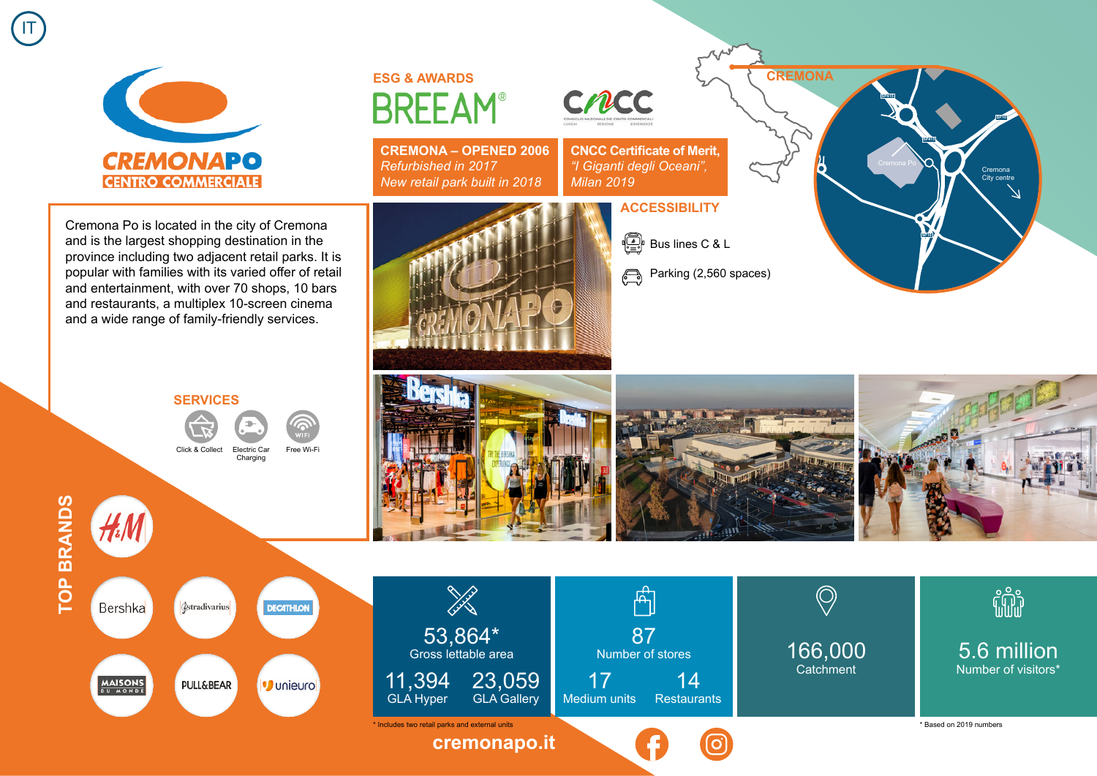

**ESG & AWARDS BREEAM®** 

**CREMONA – OPENED 2006** *Refurbished in 2017 New retail park built in 2018*

> 53,864\* Gross lettable area

en de Salva<br>T

23,059 GLA Gallery

**[cremonapo.it](https://www.cremonapo.it)**

11,394 GLA Hyper

Cremona Po is located in the city of Cremona and is the largest shopping destination in the province including two adjacent retail parks. It is popular with families with its varied offer of retail and entertainment, with over 70 shops, 10 bars and restaurants, a multiplex 10-screen cinema and a wide range of family-friendly services.

## **SERVICES**

*<u>dstradivarius</u>* 

**PULL&BEAR** 

Click & Collect Electric Ca Charging

Free Wi-Fi

**DECATHLON** 

· Unieuro



Bershka

**MAISONS** 



87 Number of stores

 $\mathbb{A}$ 

Medium units Restaurants

14

17

 $\begin{bmatrix} \begin{smallmatrix} \mathbb{R} \\ \mathbb{R} \end{smallmatrix} \end{bmatrix}$  Bus lines C & L

**ACCESSIBILITY**

**CNCC Certificate of Merit,** *"I Giganti degli Oceani",* 

*Milan 2019*

CMCC

**CREMONA**

**SP415**

**SP10**

**SP415**



166,000 **Catchment** 

\* Includes two retail parks and external units \* Based on 2019 numbers

5.6 million Number of visitors\*

fili

Cremona City centre

**SP10**